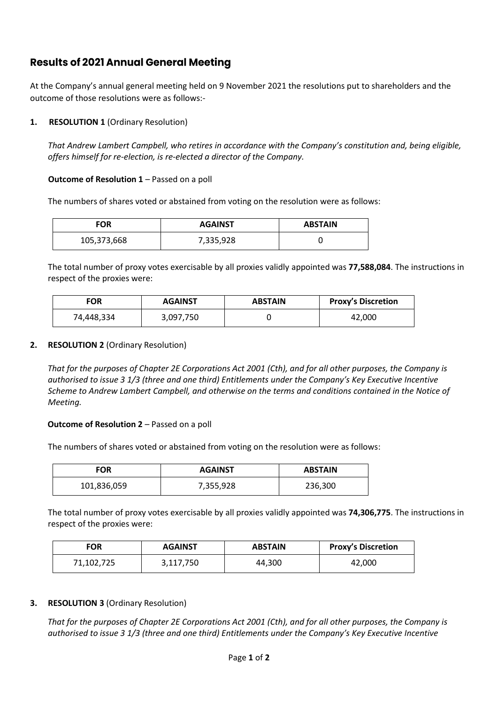# **Results of 2021 Annual General Meeting**

At the Company's annual general meeting held on 9 November 2021 the resolutions put to shareholders and the outcome of those resolutions were as follows:-

## **1. RESOLUTION 1** (Ordinary Resolution)

*That Andrew Lambert Campbell, who retires in accordance with the Company's constitution and, being eligible, offers himself for re-election, is re-elected a director of the Company.*

### **Outcome of Resolution 1** – Passed on a poll

The numbers of shares voted or abstained from voting on the resolution were as follows:

| <b>FOR</b>  | <b>AGAINST</b> | <b>ABSTAIN</b> |
|-------------|----------------|----------------|
| 105,373,668 | 7,335,928      |                |

The total number of proxy votes exercisable by all proxies validly appointed was **77,588,084**. The instructions in respect of the proxies were:

| <b>FOR</b> | <b>AGAINST</b> | <b>ABSTAIN</b> | <b>Proxy's Discretion</b> |
|------------|----------------|----------------|---------------------------|
| 74,448,334 | 3,097,750      |                | 42.000                    |

## **2. RESOLUTION 2** (Ordinary Resolution)

*That for the purposes of Chapter 2E Corporations Act 2001 (Cth), and for all other purposes, the Company is authorised to issue 3 1/3 (three and one third) Entitlements under the Company's Key Executive Incentive Scheme to Andrew Lambert Campbell, and otherwise on the terms and conditions contained in the Notice of Meeting.*

#### **Outcome of Resolution 2** – Passed on a poll

The numbers of shares voted or abstained from voting on the resolution were as follows:

| FOR         | <b>AGAINST</b> | <b>ABSTAIN</b> |
|-------------|----------------|----------------|
| 101,836,059 | 7,355,928      | 236,300        |

The total number of proxy votes exercisable by all proxies validly appointed was **74,306,775**. The instructions in respect of the proxies were:

| <b>FOR</b> | <b>AGAINST</b> | <b>ABSTAIN</b> | <b>Proxy's Discretion</b> |
|------------|----------------|----------------|---------------------------|
| 71,102,725 | 3,117,750      | 44,300         | 42,000                    |

## **3. RESOLUTION 3** (Ordinary Resolution)

*That for the purposes of Chapter 2E Corporations Act 2001 (Cth), and for all other purposes, the Company is authorised to issue 3 1/3 (three and one third) Entitlements under the Company's Key Executive Incentive*